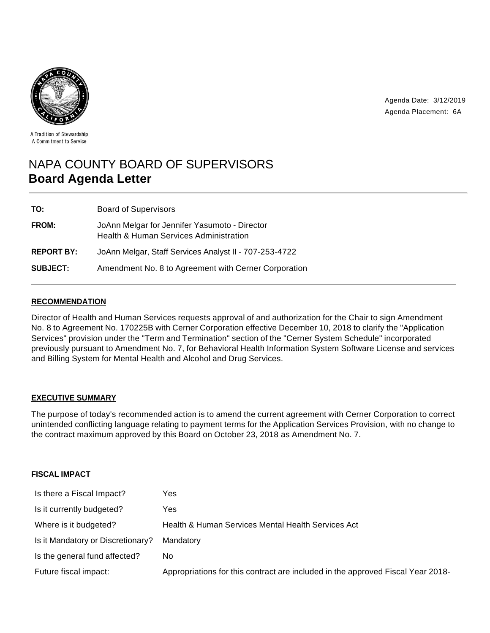

Agenda Date: 3/12/2019 Agenda Placement: 6A

A Tradition of Stewardship A Commitment to Service

# NAPA COUNTY BOARD OF SUPERVISORS **Board Agenda Letter**

| TO:               | <b>Board of Supervisors</b>                                                                        |
|-------------------|----------------------------------------------------------------------------------------------------|
| <b>FROM:</b>      | JoAnn Melgar for Jennifer Yasumoto - Director<br><b>Health &amp; Human Services Administration</b> |
| <b>REPORT BY:</b> | JoAnn Melgar, Staff Services Analyst II - 707-253-4722                                             |
| <b>SUBJECT:</b>   | Amendment No. 8 to Agreement with Cerner Corporation                                               |

### **RECOMMENDATION**

Director of Health and Human Services requests approval of and authorization for the Chair to sign Amendment No. 8 to Agreement No. 170225B with Cerner Corporation effective December 10, 2018 to clarify the "Application Services" provision under the "Term and Termination" section of the "Cerner System Schedule" incorporated previously pursuant to Amendment No. 7, for Behavioral Health Information System Software License and services and Billing System for Mental Health and Alcohol and Drug Services.

### **EXECUTIVE SUMMARY**

The purpose of today's recommended action is to amend the current agreement with Cerner Corporation to correct unintended conflicting language relating to payment terms for the Application Services Provision, with no change to the contract maximum approved by this Board on October 23, 2018 as Amendment No. 7.

## **FISCAL IMPACT**

| Is there a Fiscal Impact?         | Yes                                                                             |
|-----------------------------------|---------------------------------------------------------------------------------|
| Is it currently budgeted?         | Yes                                                                             |
| Where is it budgeted?             | Health & Human Services Mental Health Services Act                              |
| Is it Mandatory or Discretionary? | Mandatory                                                                       |
| Is the general fund affected?     | No.                                                                             |
| Future fiscal impact:             | Appropriations for this contract are included in the approved Fiscal Year 2018- |